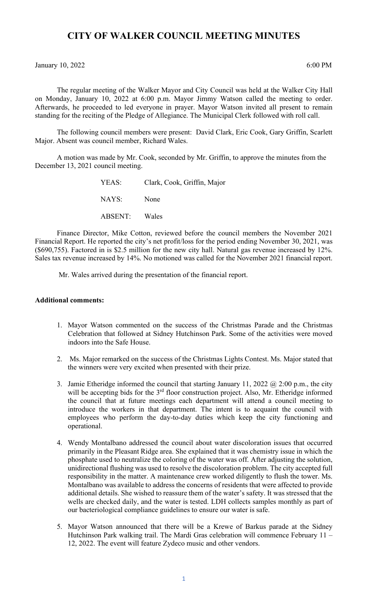## **CITY OF WALKER COUNCIL MEETING MINUTES**

January 10, 2022 6:00 PM

The regular meeting of the Walker Mayor and City Council was held at the Walker City Hall on Monday, January 10, 2022 at 6:00 p.m. Mayor Jimmy Watson called the meeting to order. Afterwards, he proceeded to led everyone in prayer. Mayor Watson invited all present to remain standing for the reciting of the Pledge of Allegiance. The Municipal Clerk followed with roll call.

The following council members were present: David Clark, Eric Cook, Gary Griffin, Scarlett Major. Absent was council member, Richard Wales.

A motion was made by Mr. Cook, seconded by Mr. Griffin, to approve the minutes from the December 13, 2021 council meeting.

| YEAS:         | Clark, Cook, Griffin, Major |
|---------------|-----------------------------|
| NAYS:         | None                        |
| ABSENT: Wales |                             |

Finance Director, Mike Cotton, reviewed before the council members the November 2021 Financial Report. He reported the city's net profit/loss for the period ending November 30, 2021, was (\$690,755). Factored in is \$2.5 million for the new city hall. Natural gas revenue increased by 12%. Sales tax revenue increased by 14%. No motioned was called for the November 2021 financial report.

Mr. Wales arrived during the presentation of the financial report.

## **Additional comments:**

- 1. Mayor Watson commented on the success of the Christmas Parade and the Christmas Celebration that followed at Sidney Hutchinson Park. Some of the activities were moved indoors into the Safe House.
- 2. Ms. Major remarked on the success of the Christmas Lights Contest. Ms. Major stated that the winners were very excited when presented with their prize.
- 3. Jamie Etheridge informed the council that starting January 11, 2022  $\omega$  2:00 p.m., the city will be accepting bids for the 3<sup>rd</sup> floor construction project. Also, Mr. Etheridge informed the council that at future meetings each department will attend a council meeting to introduce the workers in that department. The intent is to acquaint the council with employees who perform the day-to-day duties which keep the city functioning and operational.
- 4. Wendy Montalbano addressed the council about water discoloration issues that occurred primarily in the Pleasant Ridge area. She explained that it was chemistry issue in which the phosphate used to neutralize the coloring of the water was off. After adjusting the solution, unidirectional flushing was used to resolve the discoloration problem. The city accepted full responsibility in the matter. A maintenance crew worked diligently to flush the tower. Ms. Montalbano was available to address the concerns of residents that were affected to provide additional details. She wished to reassure them of the water's safety. It was stressed that the wells are checked daily, and the water is tested. LDH collects samples monthly as part of our bacteriological compliance guidelines to ensure our water is safe.
- 5. Mayor Watson announced that there will be a Krewe of Barkus parade at the Sidney Hutchinson Park walking trail. The Mardi Gras celebration will commence February 11 – 12, 2022. The event will feature Zydeco music and other vendors.